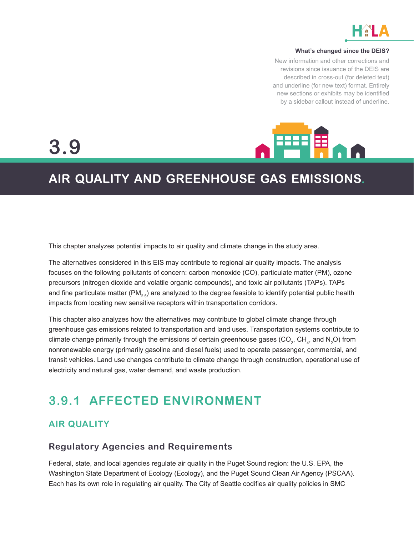

#### **What's changed since the DEIS?**

New information and other corrections and revisions since issuance of the DEIS are described in cross-out (for deleted text) and underline (for new text) format. Entirely new sections or exhibits may be identified by a sidebar callout instead of underline.





# **AIR QUALITY AND GREENHOUSE GAS EMISSIONS.**

This chapter analyzes potential impacts to air quality and climate change in the study area.

The alternatives considered in this EIS may contribute to regional air quality impacts. The analysis focuses on the following pollutants of concern: carbon monoxide (CO), particulate matter (PM), ozone precursors (nitrogen dioxide and volatile organic compounds), and toxic air pollutants (TAPs). TAPs and fine particulate matter (PM<sub>25</sub>) are analyzed to the degree feasible to identify potential public health impacts from locating new sensitive receptors within transportation corridors.

This chapter also analyzes how the alternatives may contribute to global climate change through greenhouse gas emissions related to transportation and land uses. Transportation systems contribute to climate change primarily through the emissions of certain greenhouse gases (CO<sub>2</sub>, CH<sub>4</sub>, and N<sub>2</sub>O) from nonrenewable energy (primarily gasoline and diesel fuels) used to operate passenger, commercial, and transit vehicles. Land use changes contribute to climate change through construction, operational use of electricity and natural gas, water demand, and waste production.

# **3.9.1 AFFECTED ENVIRONMENT**

### **AIR QUALITY**

#### **Regulatory Agencies and Requirements**

Federal, state, and local agencies regulate air quality in the Puget Sound region: the U.S. EPA, the Washington State Department of Ecology (Ecology), and the Puget Sound Clean Air Agency (PSCAA). Each has its own role in regulating air quality. The City of Seattle codifies air quality policies in SMC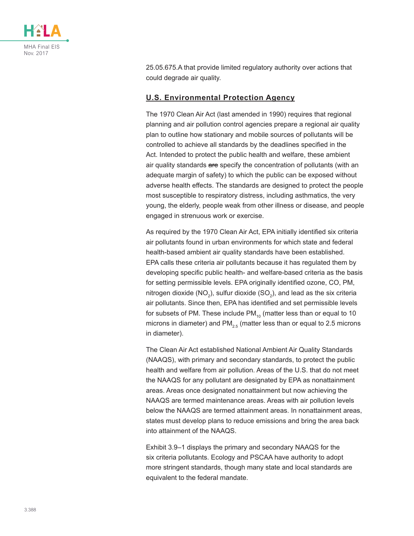

25.05.675.A that provide limited regulatory authority over actions that could degrade air quality.

#### **U.S. Environmental Protection Agency**

The 1970 Clean Air Act (last amended in 1990) requires that regional planning and air pollution control agencies prepare a regional air quality plan to outline how stationary and mobile sources of pollutants will be controlled to achieve all standards by the deadlines specified in the Act. Intended to protect the public health and welfare, these ambient air quality standards are specify the concentration of pollutants (with an adequate margin of safety) to which the public can be exposed without adverse health effects. The standards are designed to protect the people most susceptible to respiratory distress, including asthmatics, the very young, the elderly, people weak from other illness or disease, and people engaged in strenuous work or exercise.

As required by the 1970 Clean Air Act, EPA initially identified six criteria air pollutants found in urban environments for which state and federal health-based ambient air quality standards have been established. EPA calls these criteria air pollutants because it has regulated them by developing specific public health- and welfare-based criteria as the basis for setting permissible levels. EPA originally identified ozone, CO, PM, nitrogen dioxide (NO $_{\textrm{\tiny{2}}}$ ), sulfur dioxide (SO $_{\textrm{\tiny{2}}}$ ), and lead as the six criteria air pollutants. Since then, EPA has identified and set permissible levels for subsets of PM. These include  $PM_{10}$  (matter less than or equal to 10 microns in diameter) and PM<sub>2.5</sub> (matter less than or equal to 2.5 microns in diameter).

The Clean Air Act established National Ambient Air Quality Standards (NAAQS), with primary and secondary standards, to protect the public health and welfare from air pollution. Areas of the U.S. that do not meet the NAAQS for any pollutant are designated by EPA as nonattainment areas. Areas once designated nonattainment but now achieving the NAAQS are termed maintenance areas. Areas with air pollution levels below the NAAQS are termed attainment areas. In nonattainment areas, states must develop plans to reduce emissions and bring the area back into attainment of the NAAQS.

[Exhibit 3.9–1](#page-2-0) displays the primary and secondary NAAQS for the six criteria pollutants. Ecology and PSCAA have authority to adopt more stringent standards, though many state and local standards are equivalent to the federal mandate.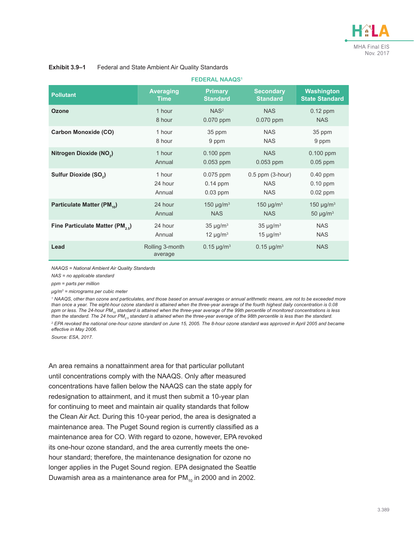

|                                             | <b>FEDERAL NAAQS<sup>1</sup></b> |                            |                            |                            |
|---------------------------------------------|----------------------------------|----------------------------|----------------------------|----------------------------|
| <b>Pollutant</b>                            | <b>Averaging</b>                 | <b>Primary</b>             | <b>Secondary</b>           | Washington                 |
|                                             | <b>Time</b>                      | <b>Standard</b>            | <b>Standard</b>            | <b>State Standard</b>      |
| Ozone                                       | 1 hour                           | NAS <sup>2</sup>           | <b>NAS</b>                 | $0.12$ ppm                 |
|                                             | 8 hour                           | $0.070$ ppm                | $0.070$ ppm                | <b>NAS</b>                 |
| <b>Carbon Monoxide (CO)</b>                 | 1 hour                           | 35 ppm                     | <b>NAS</b>                 | 35 ppm                     |
|                                             | 8 hour                           | 9 ppm                      | <b>NAS</b>                 | 9 ppm                      |
| Nitrogen Dioxide (NO2)                      | 1 hour                           | 0.100 ppm                  | <b>NAS</b>                 | 0.100 ppm                  |
|                                             | Annual                           | 0.053 ppm                  | 0.053 ppm                  | $0.05$ ppm                 |
| Sulfur Dioxide (SO <sub>2</sub> )           | 1 hour                           | $0.075$ ppm                | $0.5$ ppm $(3-hour)$       | $0.40$ ppm                 |
|                                             | 24 hour                          | $0.14$ ppm                 | <b>NAS</b>                 | $0.10$ ppm                 |
|                                             | Annual                           | $0.03$ ppm                 | <b>NAS</b>                 | $0.02$ ppm                 |
| Particulate Matter (PM <sub>10</sub> )      | 24 hour                          | 150 $\mu$ g/m <sup>3</sup> | 150 $\mu$ g/m <sup>3</sup> | 150 $\mu$ g/m <sup>3</sup> |
|                                             | Annual                           | <b>NAS</b>                 | <b>NAS</b>                 | 50 $\mu$ g/m <sup>3</sup>  |
| Fine Particulate Matter (PM <sub>25</sub> ) | 24 hour                          | $35 \mu g/m^3$             | $35 \mu g/m^3$             | <b>NAS</b>                 |
|                                             | Annual                           | 12 $\mu$ g/m <sup>3</sup>  | $15 \mu g/m3$              | <b>NAS</b>                 |
| Lead                                        | Rolling 3-month<br>average       | $0.15 \mu g/m^3$           | $0.15 \mu g/m^3$           | <b>NAS</b>                 |

#### <span id="page-2-0"></span>**Exhibit 3.9–1** Federal and State Ambient Air Quality Standards

*NAAQS = National Ambient Air Quality Standards*

*NAS = no applicable standard*

*ppm = parts per million*

*μg/m<sup>3</sup> = micrograms per cubic meter*

*1 NAAQS, other than ozone and particulates, and those based on annual averages or annual arithmetic means, are not to be exceeded more than once a year. The eight-hour ozone standard is attained when the three-year average of the fourth highest daily concentration is 0.08*  ppm or less. The 24-hour PM<sub>10</sub> standard is attained when the three-year average of the 99th percentile of monitored concentrations is less *than the standard. The 24 hour PM2.5 standard is attained when the three-year average of the 98th percentile is less than the standard. 2 EPA revoked the national one-hour ozone standard on June 15, 2005. The 8-hour ozone standard was approved in April 2005 and became effective in May 2006.*

*Source: ESA, 2017.*

An area remains a nonattainment area for that particular pollutant until concentrations comply with the NAAQS. Only after measured concentrations have fallen below the NAAQS can the state apply for redesignation to attainment, and it must then submit a 10-year plan for continuing to meet and maintain air quality standards that follow the Clean Air Act. During this 10-year period, the area is designated a maintenance area. The Puget Sound region is currently classified as a maintenance area for CO. With regard to ozone, however, EPA revoked its one-hour ozone standard, and the area currently meets the onehour standard; therefore, the maintenance designation for ozone no longer applies in the Puget Sound region. EPA designated the Seattle Duwamish area as a maintenance area for  $PM_{10}$  in 2000 and in 2002.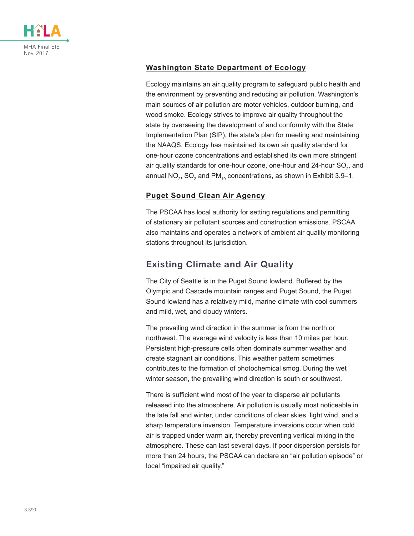

#### **Washington State Department of Ecology**

Ecology maintains an air quality program to safeguard public health and the environment by preventing and reducing air pollution. Washington's main sources of air pollution are motor vehicles, outdoor burning, and wood smoke. Ecology strives to improve air quality throughout the state by overseeing the development of and conformity with the State Implementation Plan (SIP), the state's plan for meeting and maintaining the NAAQS. Ecology has maintained its own air quality standard for one-hour ozone concentrations and established its own more stringent air quality standards for one-hour ozone, one-hour and 24-hour SO $_{\textrm{\tiny{2}}}$ , and annual NO $_{\rm 2}$ , SO $_{\rm 2}$  and PM $_{\rm 10}$  concentrations, as shown in [Exhibit 3.9–1.](#page-2-0)

#### **Puget Sound Clean Air Agency**

The PSCAA has local authority for setting regulations and permitting of stationary air pollutant sources and construction emissions. PSCAA also maintains and operates a network of ambient air quality monitoring stations throughout its jurisdiction.

### **Existing Climate and Air Quality**

The City of Seattle is in the Puget Sound lowland. Buffered by the Olympic and Cascade mountain ranges and Puget Sound, the Puget Sound lowland has a relatively mild, marine climate with cool summers and mild, wet, and cloudy winters.

The prevailing wind direction in the summer is from the north or northwest. The average wind velocity is less than 10 miles per hour. Persistent high-pressure cells often dominate summer weather and create stagnant air conditions. This weather pattern sometimes contributes to the formation of photochemical smog. During the wet winter season, the prevailing wind direction is south or southwest.

There is sufficient wind most of the year to disperse air pollutants released into the atmosphere. Air pollution is usually most noticeable in the late fall and winter, under conditions of clear skies, light wind, and a sharp temperature inversion. Temperature inversions occur when cold air is trapped under warm air, thereby preventing vertical mixing in the atmosphere. These can last several days. If poor dispersion persists for more than 24 hours, the PSCAA can declare an "air pollution episode" or local "impaired air quality."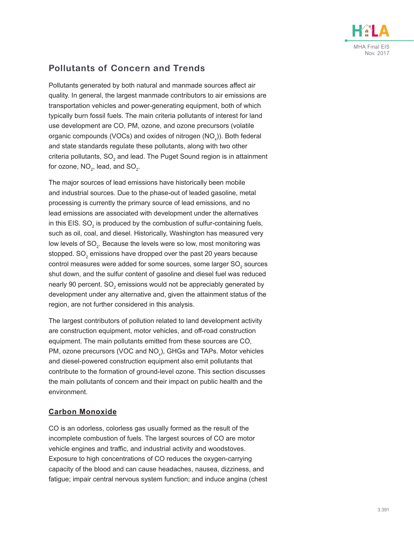

# **Pollutants of Concern and Trends**

Pollutants generated by both natural and manmade sources affect air quality. In general, the largest manmade contributors to air emissions are transportation vehicles and power-generating equipment, both of which typically burn fossil fuels. The main criteria pollutants of interest for land use development are CO, PM, ozone, and ozone precursors (volatile organic compounds (VOCs) and oxides of nitrogen (NO $_{\mathrm{\chi}}$ )). Both federal and state standards regulate these pollutants, along with two other criteria pollutants, SO $_{\textrm{\tiny{2}}}$  and lead. The Puget Sound region is in attainment for ozone, NO $_{\textrm{\tiny{2}}}$ , lead, and SO $_{\textrm{\tiny{2}}}$ .

The major sources of lead emissions have historically been mobile and industrial sources. Due to the phase-out of leaded gasoline, metal processing is currently the primary source of lead emissions, and no lead emissions are associated with development under the alternatives in this EIS. SO $_{\rm 2}$  is produced by the combustion of sulfur-containing fuels, such as oil, coal, and diesel. Historically, Washington has measured very low levels of SO $_{\textrm{\tiny{2}}}$ . Because the levels were so low, most monitoring was stopped. SO $_{\textrm{\tiny{2}}}$  emissions have dropped over the past 20 years because control measures were added for some sources, some larger SO $_{\textrm{\tiny{2}}}$  sources shut down, and the sulfur content of gasoline and diesel fuel was reduced nearly 90 percent. SO $_{\textrm{\tiny{2}}}$  emissions would not be appreciably generated by development under any alternative and, given the attainment status of the region, are not further considered in this analysis.

The largest contributors of pollution related to land development activity are construction equipment, motor vehicles, and off-road construction equipment. The main pollutants emitted from these sources are CO, PM, ozone precursors (VOC and NO $_{\sf x}$ ), GHGs and TAPs. Motor vehicles and diesel-powered construction equipment also emit pollutants that contribute to the formation of ground-level ozone. This section discusses the main pollutants of concern and their impact on public health and the environment.

### **Carbon Monoxide**

CO is an odorless, colorless gas usually formed as the result of the incomplete combustion of fuels. The largest sources of CO are motor vehicle engines and traffic, and industrial activity and woodstoves. Exposure to high concentrations of CO reduces the oxygen-carrying capacity of the blood and can cause headaches, nausea, dizziness, and fatigue; impair central nervous system function; and induce angina (chest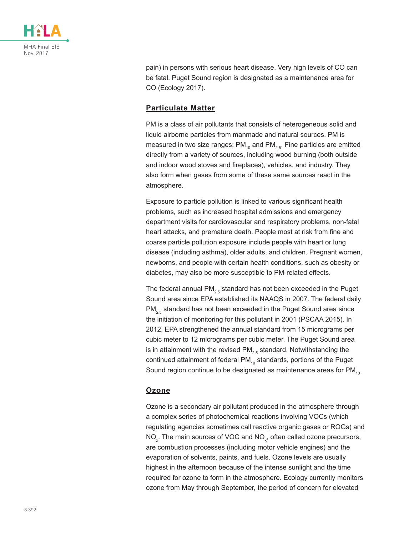

pain) in persons with serious heart disease. Very high levels of CO can be fatal. Puget Sound region is designated as a maintenance area for CO (Ecology 2017).

#### **Particulate Matter**

PM is a class of air pollutants that consists of heterogeneous solid and liquid airborne particles from manmade and natural sources. PM is measured in two size ranges:  $PM_{10}$  and  $PM_{2.5}$ . Fine particles are emitted directly from a variety of sources, including wood burning (both outside and indoor wood stoves and fireplaces), vehicles, and industry. They also form when gases from some of these same sources react in the atmosphere.

Exposure to particle pollution is linked to various significant health problems, such as increased hospital admissions and emergency department visits for cardiovascular and respiratory problems, non-fatal heart attacks, and premature death. People most at risk from fine and coarse particle pollution exposure include people with heart or lung disease (including asthma), older adults, and children. Pregnant women, newborns, and people with certain health conditions, such as obesity or diabetes, may also be more susceptible to PM-related effects.

The federal annual  $PM_{2.5}$  standard has not been exceeded in the Puget Sound area since EPA established its NAAQS in 2007. The federal daily  $PM_{2.5}$  standard has not been exceeded in the Puget Sound area since the initiation of monitoring for this pollutant in 2001 (PSCAA 2015). In 2012, EPA strengthened the annual standard from 15 micrograms per cubic meter to 12 micrograms per cubic meter. The Puget Sound area is in attainment with the revised  $PM_{2.5}$  standard. Notwithstanding the continued attainment of federal PM $_{10}$  standards, portions of the Puget Sound region continue to be designated as maintenance areas for  $PM_{10}$ .

#### **Ozone**

Ozone is a secondary air pollutant produced in the atmosphere through a complex series of photochemical reactions involving VOCs (which regulating agencies sometimes call reactive organic gases or ROGs) and  $\mathsf{NO}_\mathsf{x}.$  The main sources of VOC and  $\mathsf{NO}_\mathsf{x},$  often called ozone precursors, are combustion processes (including motor vehicle engines) and the evaporation of solvents, paints, and fuels. Ozone levels are usually highest in the afternoon because of the intense sunlight and the time required for ozone to form in the atmosphere. Ecology currently monitors ozone from May through September, the period of concern for elevated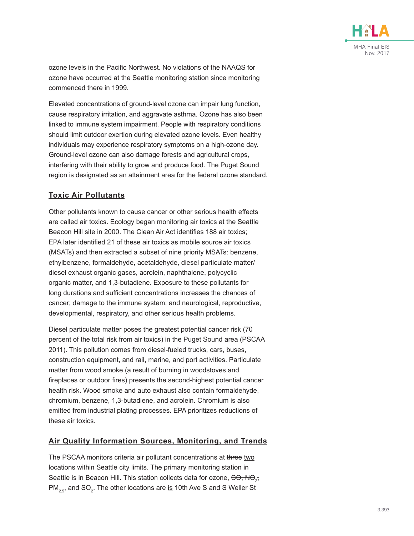ozone levels in the Pacific Northwest. No violations of the NAAQS for ozone have occurred at the Seattle monitoring station since monitoring commenced there in 1999.

Elevated concentrations of ground-level ozone can impair lung function, cause respiratory irritation, and aggravate asthma. Ozone has also been linked to immune system impairment. People with respiratory conditions should limit outdoor exertion during elevated ozone levels. Even healthy individuals may experience respiratory symptoms on a high-ozone day. Ground-level ozone can also damage forests and agricultural crops, interfering with their ability to grow and produce food. The Puget Sound region is designated as an attainment area for the federal ozone standard.

### **Toxic Air Pollutants**

Other pollutants known to cause cancer or other serious health effects are called air toxics. Ecology began monitoring air toxics at the Seattle Beacon Hill site in 2000. The Clean Air Act identifies 188 air toxics; EPA later identified 21 of these air toxics as mobile source air toxics (MSATs) and then extracted a subset of nine priority MSATs: benzene, ethylbenzene, formaldehyde, acetaldehyde, diesel particulate matter/ diesel exhaust organic gases, acrolein, naphthalene, polycyclic organic matter, and 1,3-butadiene. Exposure to these pollutants for long durations and sufficient concentrations increases the chances of cancer; damage to the immune system; and neurological, reproductive, developmental, respiratory, and other serious health problems.

Diesel particulate matter poses the greatest potential cancer risk (70 percent of the total risk from air toxics) in the Puget Sound area (PSCAA 2011). This pollution comes from diesel-fueled trucks, cars, buses, construction equipment, and rail, marine, and port activities. Particulate matter from wood smoke (a result of burning in woodstoves and fireplaces or outdoor fires) presents the second-highest potential cancer health risk. Wood smoke and auto exhaust also contain formaldehyde, chromium, benzene, 1,3-butadiene, and acrolein. Chromium is also emitted from industrial plating processes. EPA prioritizes reductions of these air toxics.

#### **Air Quality Information Sources, Monitoring, and Trends**

The PSCAA monitors criteria air pollutant concentrations at three two locations within Seattle city limits. The primary monitoring station in Seattle is in Beacon Hill. This station collects data for ozone, <del>CO, NO<sub>2</sub>,</del> PM<sub>2.5</sub>; and SO<sub>2</sub>. The other locations <del>are</del> i<u>s</u> 10th Ave S and S Weller St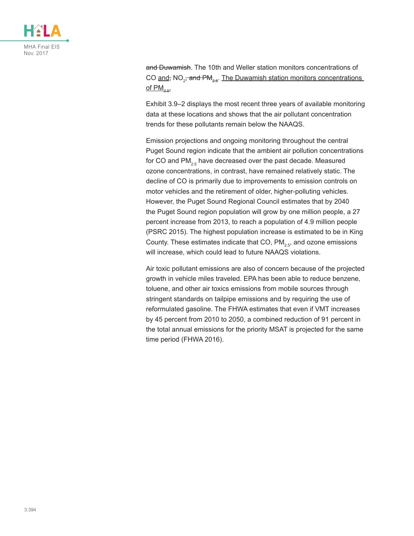

and Duwamish. The 10th and Weller station monitors concentrations of CO <u>and</u><del>,</del> NO<sub>2</sub><del>, and PM<sub>2.5</sub></del>. <u>The Duwamish station monitors concentrations </u> of  $PM_{2.51}$ 

[Exhibit 3.9–2](#page-8-0) displays the most recent three years of available monitoring data at these locations and shows that the air pollutant concentration trends for these pollutants remain below the NAAQS.

Emission projections and ongoing monitoring throughout the central Puget Sound region indicate that the ambient air pollution concentrations for CO and  $PM_{25}$  have decreased over the past decade. Measured ozone concentrations, in contrast, have remained relatively static. The decline of CO is primarily due to improvements to emission controls on motor vehicles and the retirement of older, higher-polluting vehicles. However, the Puget Sound Regional Council estimates that by 2040 the Puget Sound region population will grow by one million people, a 27 percent increase from 2013, to reach a population of 4.9 million people (PSRC 2015). The highest population increase is estimated to be in King County. These estimates indicate that CO,  $PM_{25}$ , and ozone emissions will increase, which could lead to future NAAQS violations.

Air toxic pollutant emissions are also of concern because of the projected growth in vehicle miles traveled. EPA has been able to reduce benzene, toluene, and other air toxics emissions from mobile sources through stringent standards on tailpipe emissions and by requiring the use of reformulated gasoline. The FHWA estimates that even if VMT increases by 45 percent from 2010 to 2050, a combined reduction of 91 percent in the total annual emissions for the priority MSAT is projected for the same time period (FHWA 2016).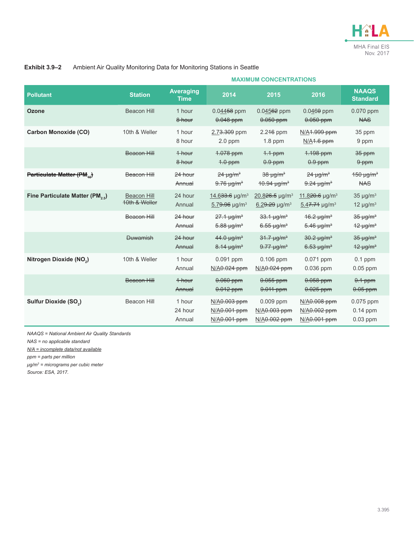

#### <span id="page-8-0"></span>**Exhibit 3.9–2** Ambient Air Quality Monitoring Data for Monitoring Stations in Seattle

|                                             |                                     | <b>MAXIMUM CONCENTRATIONS</b>   |                                                           |                                                             |                                                                                      |                                             |
|---------------------------------------------|-------------------------------------|---------------------------------|-----------------------------------------------------------|-------------------------------------------------------------|--------------------------------------------------------------------------------------|---------------------------------------------|
| <b>Pollutant</b>                            | <b>Station</b>                      | <b>Averaging</b><br><b>Time</b> | 2014                                                      | 2015                                                        | 2016                                                                                 | <b>NAAQS</b><br><b>Standard</b>             |
| <b>Ozone</b>                                | <b>Beacon Hill</b>                  | 1 hour<br>8 hour                | 0.04458 ppm<br>$0.048$ ppm                                | 0.04562 ppm<br>$0.050$ ppm                                  | $0.046\theta$ ppm<br>$0.050$ ppm                                                     | 0.070 ppm<br><b>NAS</b>                     |
| <b>Carbon Monoxide (CO)</b>                 | 10th & Weller                       | 1 hour<br>8 hour                | 2.7 <del>3.309</del> ppm<br>$2.0$ ppm                     | $2.246$ ppm<br>$1.8$ ppm                                    | N/A <del>1.999 ppm</del><br>$N/A4.6$ ppm                                             | 35 ppm<br>9 ppm                             |
|                                             | Beacon Hill                         | 4 hour<br>8 hour                | 1.078 ppm<br>$4.0$ ppm                                    | $4.1$ ppm<br>$0.9$ ppm                                      | 4.198 ppm<br>$0.9$ ppm                                                               | 35 ppm<br>$9$ ppm                           |
| Particulate Matter (PM <sub>40</sub> )      | Beacon Hill                         | 24 hour<br>Annual               | $24 \mu g/m^3$<br>$9.76 \text{ µg/m}^3$                   | $38 \mu g/m^3$<br>$40.94 \mu g/m^3$                         | $24 \mu g/m^3$<br>$9.24 \mu g/m3$                                                    | $450 \mu g/m^3$<br><b>NAS</b>               |
| Fine Particulate Matter (PM <sub>25</sub> ) | <b>Beacon Hill</b><br>40th & Weller | 24 hour<br>Annual               | $14.633.6$ µg/m <sup>3</sup><br>5.79.96 µg/m <sup>3</sup> | $20.826.5$ µg/m <sup>3</sup><br>$6.29.29$ µg/m <sup>3</sup> | 11.8 <del>20.6</del> $\mu$ g/m <sup>3</sup><br>$\frac{5.47.74}{1}$ µg/m <sup>3</sup> | $35 \mu g/m^3$<br>12 $\mu$ g/m <sup>3</sup> |
|                                             | Beacon Hill                         | 24 hour<br>Annual               | $27.1 \,\mu g/m^3$<br>$5.88 \,\mu g/m^3$                  | $33.1 \,\mu g/m^3$<br>$6.55 \text{ µg/m}^3$                 | $46.2 \text{ µg/m}^3$<br>$5.46 \text{ µg/m}^3$                                       | $35 \mu g/m^3$<br>$12 \mu g/m^3$            |
|                                             | <b>Duwamish</b>                     | 24 hour<br>Annual               | 44.0 µg/m <sup>3</sup><br>8.14 µg/m <sup>3</sup>          | $31.7 \mu g/m^3$<br>$9.77 \mu g/m^3$                        | $30.2 \text{ µq/m}^3$<br>$6.53 \text{ µg/m}^3$                                       | $35 \mu g/m^3$<br>$12 \mu g/m^3$            |
| Nitrogen Dioxide (NO2)                      | 10th & Weller                       | 1 hour<br>Annual                | 0.091 ppm<br>$N/A0.024$ ppm                               | 0.106 ppm<br>$N/A0.024$ ppm                                 | 0.071 ppm<br>0.036 ppm                                                               | $0.1$ ppm<br>$0.05$ ppm                     |
|                                             | Beacon Hill                         | 1 hour<br>Annual                | $0.060$ ppm<br>$0.012$ ppm                                | $0.055$ ppm<br>$0.011$ ppm                                  | $0.058$ ppm<br>$0.025$ ppm                                                           | $0.1$ ppm<br>$0.05$ ppm                     |
| Sulfur Dioxide (SO <sub>2</sub> )           | <b>Beacon Hill</b>                  | 1 hour<br>24 hour<br>Annual     | $N/A0.003$ ppm<br>$N/A0.001$ ppm<br>N/A0.001 ppm          | $0.009$ ppm<br>$N/A0.003$ ppm<br>N/A0.002 ppm               | N/A0.008 ppm<br>$N/A0.002$ ppm<br>N/A0.001 ppm                                       | 0.075 ppm<br>$0.14$ ppm<br>0.03 ppm         |

*NAAQS = National Ambient Air Quality Standards*

*NAS = no applicable standard*

*N/A = incomplete data/not available*

*ppm = parts per million*

*μg/m<sup>3</sup> = micrograms per cubic meter*

*Source: ESA, 2017.*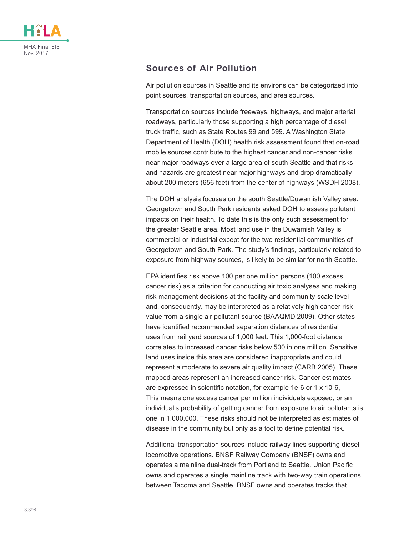

### **Sources of Air Pollution**

Air pollution sources in Seattle and its environs can be categorized into point sources, transportation sources, and area sources.

Transportation sources include freeways, highways, and major arterial roadways, particularly those supporting a high percentage of diesel truck traffic, such as State Routes 99 and 599. A Washington State Department of Health (DOH) health risk assessment found that on-road mobile sources contribute to the highest cancer and non-cancer risks near major roadways over a large area of south Seattle and that risks and hazards are greatest near major highways and drop dramatically about 200 meters (656 feet) from the center of highways (WSDH 2008).

The DOH analysis focuses on the south Seattle/Duwamish Valley area. Georgetown and South Park residents asked DOH to assess pollutant impacts on their health. To date this is the only such assessment for the greater Seattle area. Most land use in the Duwamish Valley is commercial or industrial except for the two residential communities of Georgetown and South Park. The study's findings, particularly related to exposure from highway sources, is likely to be similar for north Seattle.

EPA identifies risk above 100 per one million persons (100 excess cancer risk) as a criterion for conducting air toxic analyses and making risk management decisions at the facility and community-scale level and, consequently, may be interpreted as a relatively high cancer risk value from a single air pollutant source (BAAQMD 2009). Other states have identified recommended separation distances of residential uses from rail yard sources of 1,000 feet. This 1,000-foot distance correlates to increased cancer risks below 500 in one million. Sensitive land uses inside this area are considered inappropriate and could represent a moderate to severe air quality impact (CARB 2005). These mapped areas represent an increased cancer risk. Cancer estimates are expressed in scientific notation, for example 1e-6 or 1 x 10-6, This means one excess cancer per million individuals exposed, or an individual's probability of getting cancer from exposure to air pollutants is one in 1,000,000. These risks should not be interpreted as estimates of disease in the community but only as a tool to define potential risk.

Additional transportation sources include railway lines supporting diesel locomotive operations. BNSF Railway Company (BNSF) owns and operates a mainline dual-track from Portland to Seattle. Union Pacific owns and operates a single mainline track with two-way train operations between Tacoma and Seattle. BNSF owns and operates tracks that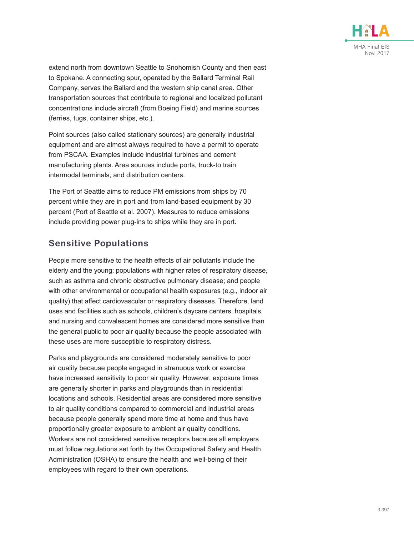

extend north from downtown Seattle to Snohomish County and then east to Spokane. A connecting spur, operated by the Ballard Terminal Rail Company, serves the Ballard and the western ship canal area. Other transportation sources that contribute to regional and localized pollutant concentrations include aircraft (from Boeing Field) and marine sources (ferries, tugs, container ships, etc.).

Point sources (also called stationary sources) are generally industrial equipment and are almost always required to have a permit to operate from PSCAA. Examples include industrial turbines and cement manufacturing plants. Area sources include ports, truck-to train intermodal terminals, and distribution centers.

The Port of Seattle aims to reduce PM emissions from ships by 70 percent while they are in port and from land-based equipment by 30 percent (Port of Seattle et al. 2007). Measures to reduce emissions include providing power plug-ins to ships while they are in port.

### **Sensitive Populations**

People more sensitive to the health effects of air pollutants include the elderly and the young; populations with higher rates of respiratory disease, such as asthma and chronic obstructive pulmonary disease; and people with other environmental or occupational health exposures (e.g., indoor air quality) that affect cardiovascular or respiratory diseases. Therefore, land uses and facilities such as schools, children's daycare centers, hospitals, and nursing and convalescent homes are considered more sensitive than the general public to poor air quality because the people associated with these uses are more susceptible to respiratory distress.

Parks and playgrounds are considered moderately sensitive to poor air quality because people engaged in strenuous work or exercise have increased sensitivity to poor air quality. However, exposure times are generally shorter in parks and playgrounds than in residential locations and schools. Residential areas are considered more sensitive to air quality conditions compared to commercial and industrial areas because people generally spend more time at home and thus have proportionally greater exposure to ambient air quality conditions. Workers are not considered sensitive receptors because all employers must follow regulations set forth by the Occupational Safety and Health Administration (OSHA) to ensure the health and well-being of their employees with regard to their own operations.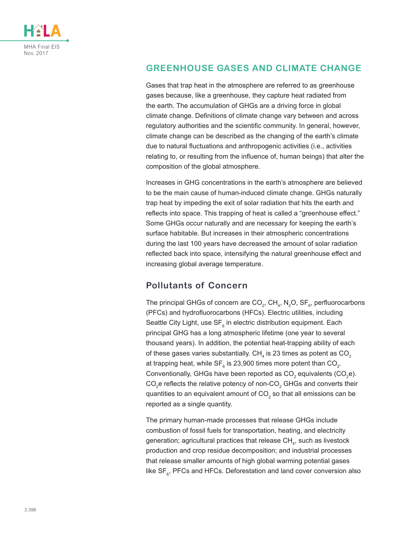

### **GREENHOUSE GASES AND CLIMATE CHANGE**

Gases that trap heat in the atmosphere are referred to as greenhouse gases because, like a greenhouse, they capture heat radiated from the earth. The accumulation of GHGs are a driving force in global climate change. Definitions of climate change vary between and across regulatory authorities and the scientific community. In general, however, climate change can be described as the changing of the earth's climate due to natural fluctuations and anthropogenic activities (i.e., activities relating to, or resulting from the influence of, human beings) that alter the composition of the global atmosphere.

Increases in GHG concentrations in the earth's atmosphere are believed to be the main cause of human-induced climate change. GHGs naturally trap heat by impeding the exit of solar radiation that hits the earth and reflects into space. This trapping of heat is called a "greenhouse effect." Some GHGs occur naturally and are necessary for keeping the earth's surface habitable. But increases in their atmospheric concentrations during the last 100 years have decreased the amount of solar radiation reflected back into space, intensifying the natural greenhouse effect and increasing global average temperature.

### **Pollutants of Concern**

The principal GHGs of concern are CO $_{_2}$ , CH $_{_4}$ , N $_{_2}$ O, SF $_{_6}$ , perfluorocarbons (PFCs) and hydrofluorocarbons (HFCs). Electric utilities, including Seattle City Light, use  $\text{SF}_6$  in electric distribution equipment. Each principal GHG has a long atmospheric lifetime (one year to several thousand years). In addition, the potential heat-trapping ability of each of these gases varies substantially. CH $_{\scriptscriptstyle 4}$  is 23 times as potent as CO $_{\scriptscriptstyle 2}$ at trapping heat, while SF $_{\rm 6}$  is 23,900 times more potent than CO $_{\rm 2}$ . Conventionally, GHGs have been reported as CO $_2$  equivalents (CO $_2$ e). CO $_2$ e reflects the relative potency of non-CO $_2$  GHGs and converts their quantities to an equivalent amount of CO $_{\textrm{\tiny{2}}}$  so that all emissions can be reported as a single quantity.

The primary human-made processes that release GHGs include combustion of fossil fuels for transportation, heating, and electricity generation; agricultural practices that release CH $_{\textrm{\tiny{4}}}$ , such as livestock production and crop residue decomposition; and industrial processes that release smaller amounts of high global warming potential gases like SF $_{\rm s}$ , PFCs and HFCs. Deforestation and land cover conversion also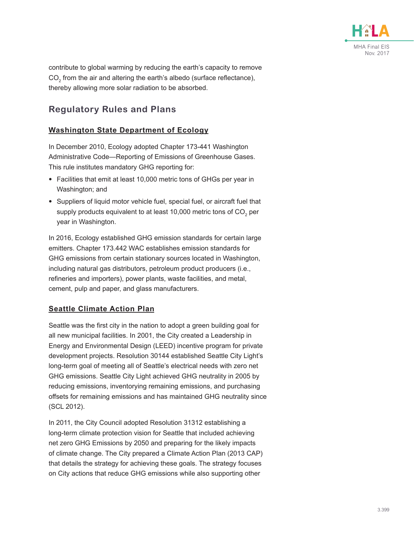

contribute to global warming by reducing the earth's capacity to remove  $\mathsf{CO}_2^{}$  from the air and altering the earth's albedo (surface reflectance), thereby allowing more solar radiation to be absorbed.

# **Regulatory Rules and Plans**

#### **Washington State Department of Ecology**

In December 2010, Ecology adopted Chapter 173-441 Washington Administrative Code—Reporting of Emissions of Greenhouse Gases. This rule institutes mandatory GHG reporting for:

- Facilities that emit at least 10,000 metric tons of GHGs per year in Washington; and
- Suppliers of liquid motor vehicle fuel, special fuel, or aircraft fuel that supply products equivalent to at least 10,000 metric tons of CO $_{\tiny 2}$  per year in Washington.

In 2016, Ecology established GHG emission standards for certain large emitters. Chapter 173.442 WAC establishes emission standards for GHG emissions from certain stationary sources located in Washington, including natural gas distributors, petroleum product producers (i.e., refineries and importers), power plants, waste facilities, and metal, cement, pulp and paper, and glass manufacturers.

### **Seattle Climate Action Plan**

Seattle was the first city in the nation to adopt a green building goal for all new municipal facilities. In 2001, the City created a Leadership in Energy and Environmental Design (LEED) incentive program for private development projects. Resolution 30144 established Seattle City Light's long-term goal of meeting all of Seattle's electrical needs with zero net GHG emissions. Seattle City Light achieved GHG neutrality in 2005 by reducing emissions, inventorying remaining emissions, and purchasing offsets for remaining emissions and has maintained GHG neutrality since (SCL 2012).

In 2011, the City Council adopted Resolution 31312 establishing a long-term climate protection vision for Seattle that included achieving net zero GHG Emissions by 2050 and preparing for the likely impacts of climate change. The City prepared a Climate Action Plan (2013 CAP) that details the strategy for achieving these goals. The strategy focuses on City actions that reduce GHG emissions while also supporting other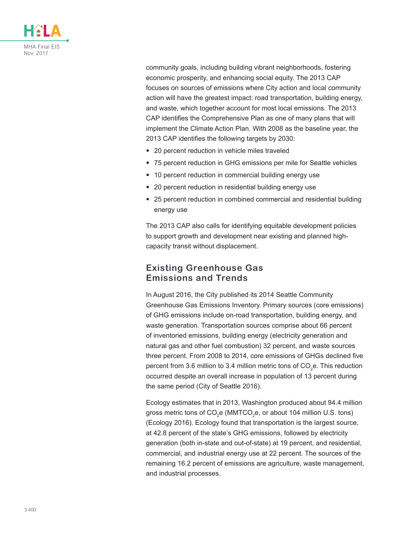

community goals, including building vibrant neighborhoods, fostering economic prosperity, and enhancing social equity. The 2013 CAP focuses on sources of emissions where City action and local community action will have the greatest impact: road transportation, building energy, and waste, which together account for most local emissions. The 2013 CAP identifies the Comprehensive Plan as one of many plans that will implement the Climate Action Plan. With 2008 as the baseline year, the 2013 CAP identifies the following targets by 2030:

- 20 percent reduction in vehicle miles traveled
- 75 percent reduction in GHG emissions per mile for Seattle vehicles
- 10 percent reduction in commercial building energy use
- 20 percent reduction in residential building energy use
- 25 percent reduction in combined commercial and residential building energy use

The 2013 CAP also calls for identifying equitable development policies to support growth and development near existing and planned highcapacity transit without displacement.

### **Existing Greenhouse Gas Emissions and Trends**

In August 2016, the City published its 2014 Seattle Community Greenhouse Gas Emissions Inventory. Primary sources (core emissions) of GHG emissions include on-road transportation, building energy, and waste generation. Transportation sources comprise about 66 percent of inventoried emissions, building energy (electricity generation and natural gas and other fuel combustion) 32 percent, and waste sources three percent. From 2008 to 2014, core emissions of GHGs declined five percent from 3.6 million to 3.4 million metric tons of CO<sub>2</sub>e. This reduction occurred despite an overall increase in population of 13 percent during the same period (City of Seattle 2016).

Ecology estimates that in 2013, Washington produced about 94.4 million gross metric tons of CO $_2$ e (MMTCO $_2$ e, or about 104 million U.S. tons) (Ecology 2016). Ecology found that transportation is the largest source, at 42.8 percent of the state's GHG emissions, followed by electricity generation (both in-state and out-of-state) at 19 percent, and residential, commercial, and industrial energy use at 22 percent. The sources of the remaining 16.2 percent of emissions are agriculture, waste management, and industrial processes.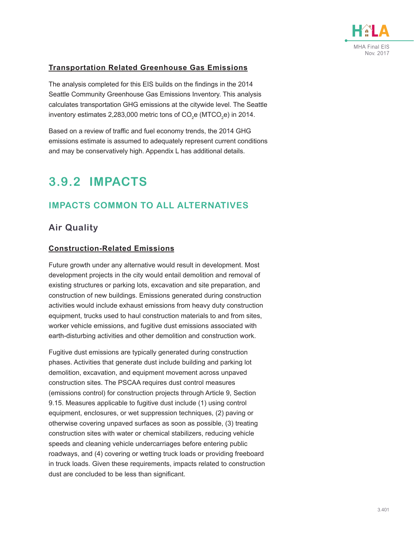

#### **Transportation Related Greenhouse Gas Emissions**

The analysis completed for this EIS builds on the findings in the 2014 Seattle Community Greenhouse Gas Emissions Inventory. This analysis calculates transportation GHG emissions at the citywide level. The Seattle inventory estimates 2,283,000 metric tons of CO<sub>2</sub>e (MTCO<sub>2</sub>e) in 2014.

Based on a review of traffic and fuel economy trends, the 2014 GHG emissions estimate is assumed to adequately represent current conditions and may be conservatively high. Appendix L has additional details.

# **3.9.2 IMPACTS**

### **IMPACTS COMMON TO ALL ALTERNATIVES**

### **Air Quality**

#### **Construction-Related Emissions**

Future growth under any alternative would result in development. Most development projects in the city would entail demolition and removal of existing structures or parking lots, excavation and site preparation, and construction of new buildings. Emissions generated during construction activities would include exhaust emissions from heavy duty construction equipment, trucks used to haul construction materials to and from sites, worker vehicle emissions, and fugitive dust emissions associated with earth-disturbing activities and other demolition and construction work.

Fugitive dust emissions are typically generated during construction phases. Activities that generate dust include building and parking lot demolition, excavation, and equipment movement across unpaved construction sites. The PSCAA requires dust control measures (emissions control) for construction projects through Article 9, Section 9.15. Measures applicable to fugitive dust include (1) using control equipment, enclosures, or wet suppression techniques, (2) paving or otherwise covering unpaved surfaces as soon as possible, (3) treating construction sites with water or chemical stabilizers, reducing vehicle speeds and cleaning vehicle undercarriages before entering public roadways, and (4) covering or wetting truck loads or providing freeboard in truck loads. Given these requirements, impacts related to construction dust are concluded to be less than significant.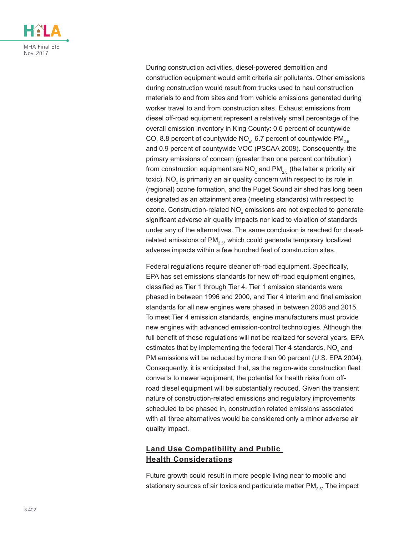

During construction activities, diesel-powered demolition and construction equipment would emit criteria air pollutants. Other emissions during construction would result from trucks used to haul construction materials to and from sites and from vehicle emissions generated during worker travel to and from construction sites. Exhaust emissions from diesel off-road equipment represent a relatively small percentage of the overall emission inventory in King County: 0.6 percent of countywide CO, 8.8 percent of countywide NO<sub>x</sub>, 6.7 percent of countywide PM<sub>2.5</sub> and 0.9 percent of countywide VOC (PSCAA 2008). Consequently, the primary emissions of concern (greater than one percent contribution) from construction equipment are NO<sub>x</sub> and PM<sub>2.5</sub> (the latter a priority air toxic). NO $_{\mathrm{\mathsf{x}}}$  is primarily an air quality concern with respect to its role in  $\;$ (regional) ozone formation, and the Puget Sound air shed has long been designated as an attainment area (meeting standards) with respect to ozone. Construction-related NO $_{\!\times}$  emissions are not expected to generate significant adverse air quality impacts nor lead to violation of standards under any of the alternatives. The same conclusion is reached for dieselrelated emissions of  $PM_{2.5}$ , which could generate temporary localized adverse impacts within a few hundred feet of construction sites.

Federal regulations require cleaner off-road equipment. Specifically, EPA has set emissions standards for new off-road equipment engines, classified as Tier 1 through Tier 4. Tier 1 emission standards were phased in between 1996 and 2000, and Tier 4 interim and final emission standards for all new engines were phased in between 2008 and 2015. To meet Tier 4 emission standards, engine manufacturers must provide new engines with advanced emission-control technologies. Although the full benefit of these regulations will not be realized for several years, EPA estimates that by implementing the federal Tier 4 standards, NO $_{\mathrm{\mathsf{x}}}$  and PM emissions will be reduced by more than 90 percent (U.S. EPA 2004). Consequently, it is anticipated that, as the region-wide construction fleet converts to newer equipment, the potential for health risks from offroad diesel equipment will be substantially reduced. Given the transient nature of construction-related emissions and regulatory improvements scheduled to be phased in, construction related emissions associated with all three alternatives would be considered only a minor adverse air quality impact.

### **Land Use Compatibility and Public Health Considerations**

Future growth could result in more people living near to mobile and stationary sources of air toxics and particulate matter  $PM_{2.5}$ . The impact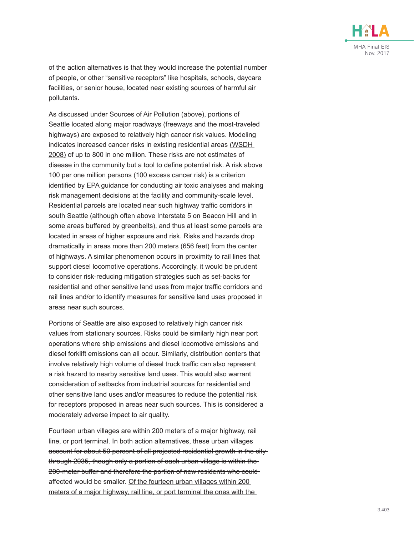

of the action alternatives is that they would increase the potential number of people, or other "sensitive receptors" like hospitals, schools, daycare facilities, or senior house, located near existing sources of harmful air pollutants.

As discussed under Sources of Air Pollution (above), portions of Seattle located along major roadways (freeways and the most-traveled highways) are exposed to relatively high cancer risk values. Modeling indicates increased cancer risks in existing residential areas (WSDH 2008) of up to 800 in one million. These risks are not estimates of disease in the community but a tool to define potential risk. A risk above 100 per one million persons (100 excess cancer risk) is a criterion identified by EPA guidance for conducting air toxic analyses and making risk management decisions at the facility and community-scale level. Residential parcels are located near such highway traffic corridors in south Seattle (although often above Interstate 5 on Beacon Hill and in some areas buffered by greenbelts), and thus at least some parcels are located in areas of higher exposure and risk. Risks and hazards drop dramatically in areas more than 200 meters (656 feet) from the center of highways. A similar phenomenon occurs in proximity to rail lines that support diesel locomotive operations. Accordingly, it would be prudent to consider risk-reducing mitigation strategies such as set-backs for residential and other sensitive land uses from major traffic corridors and rail lines and/or to identify measures for sensitive land uses proposed in areas near such sources.

Portions of Seattle are also exposed to relatively high cancer risk values from stationary sources. Risks could be similarly high near port operations where ship emissions and diesel locomotive emissions and diesel forklift emissions can all occur. Similarly, distribution centers that involve relatively high volume of diesel truck traffic can also represent a risk hazard to nearby sensitive land uses. This would also warrant consideration of setbacks from industrial sources for residential and other sensitive land uses and/or measures to reduce the potential risk for receptors proposed in areas near such sources. This is considered a moderately adverse impact to air quality.

Fourteen urban villages are within 200 meters of a major highway, rail line, or port terminal. In both action alternatives, these urban villages account for about 50 percent of all projected residential growth in the city through 2035, though only a portion of each urban village is within the 200-meter buffer and therefore the portion of new residents who could affected would be smaller. Of the fourteen urban villages within 200 meters of a major highway, rail line, or port terminal the ones with the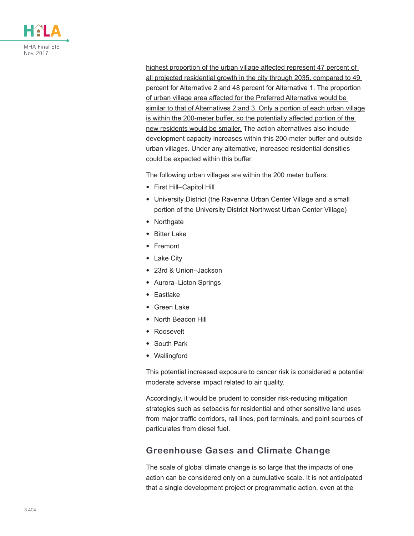

highest proportion of the urban village affected represent 47 percent of all projected residential growth in the city through 2035, compared to 49 percent for Alternative 2 and 48 percent for Alternative 1. The proportion of urban village area affected for the Preferred Alternative would be similar to that of Alternatives 2 and 3. Only a portion of each urban village is within the 200-meter buffer, so the potentially affected portion of the new residents would be smaller. The action alternatives also include development capacity increases within this 200-meter buffer and outside urban villages. Under any alternative, increased residential densities could be expected within this buffer.

The following urban villages are within the 200 meter buffers:

- First Hill–Capitol Hill
- University District (the Ravenna Urban Center Village and a small portion of the University District Northwest Urban Center Village)
- Northgate
- Bitter Lake
- Fremont
- Lake City
- 23rd & Union–Jackson
- Aurora–Licton Springs
- Eastlake
- Green Lake
- North Beacon Hill
- Roosevelt
- **South Park**
- Wallingford

This potential increased exposure to cancer risk is considered a potential moderate adverse impact related to air quality.

Accordingly, it would be prudent to consider risk-reducing mitigation strategies such as setbacks for residential and other sensitive land uses from major traffic corridors, rail lines, port terminals, and point sources of particulates from diesel fuel.

### **Greenhouse Gases and Climate Change**

The scale of global climate change is so large that the impacts of one action can be considered only on a cumulative scale. It is not anticipated that a single development project or programmatic action, even at the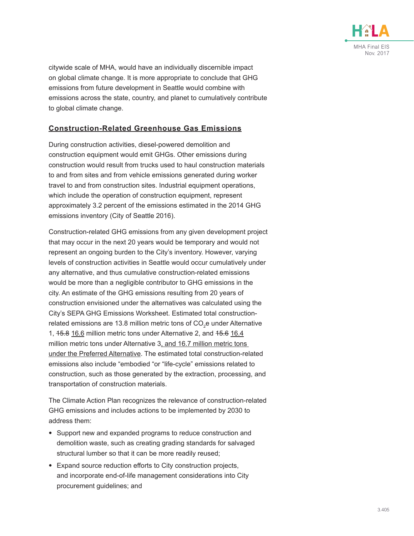

citywide scale of MHA, would have an individually discernible impact on global climate change. It is more appropriate to conclude that GHG emissions from future development in Seattle would combine with emissions across the state, country, and planet to cumulatively contribute to global climate change.

### **Construction-Related Greenhouse Gas Emissions**

During construction activities, diesel-powered demolition and construction equipment would emit GHGs. Other emissions during construction would result from trucks used to haul construction materials to and from sites and from vehicle emissions generated during worker travel to and from construction sites. Industrial equipment operations, which include the operation of construction equipment, represent approximately 3.2 percent of the emissions estimated in the 2014 GHG emissions inventory (City of Seattle 2016).

Construction-related GHG emissions from any given development project that may occur in the next 20 years would be temporary and would not represent an ongoing burden to the City's inventory. However, varying levels of construction activities in Seattle would occur cumulatively under any alternative, and thus cumulative construction-related emissions would be more than a negligible contributor to GHG emissions in the city. An estimate of the GHG emissions resulting from 20 years of construction envisioned under the alternatives was calculated using the City's SEPA GHG Emissions Worksheet. Estimated total constructionrelated emissions are 13.8 million metric tons of CO $_2$ e under Alternative 1,  $15.8$  16.6 million metric tons under Alternative 2, and  $15.6$  16.4 million metric tons under Alternative 3, and 16.7 million metric tons under the Preferred Alternative. The estimated total construction-related emissions also include "embodied "or "life-cycle" emissions related to construction, such as those generated by the extraction, processing, and transportation of construction materials.

The Climate Action Plan recognizes the relevance of construction-related GHG emissions and includes actions to be implemented by 2030 to address them:

- Support new and expanded programs to reduce construction and demolition waste, such as creating grading standards for salvaged structural lumber so that it can be more readily reused;
- Expand source reduction efforts to City construction projects, and incorporate end-of-life management considerations into City procurement guidelines; and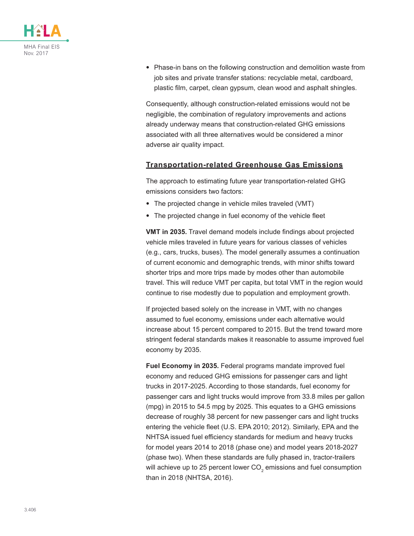

• Phase-in bans on the following construction and demolition waste from job sites and private transfer stations: recyclable metal, cardboard, plastic film, carpet, clean gypsum, clean wood and asphalt shingles.

Consequently, although construction-related emissions would not be negligible, the combination of regulatory improvements and actions already underway means that construction-related GHG emissions associated with all three alternatives would be considered a minor adverse air quality impact.

#### **Transportation-related Greenhouse Gas Emissions**

The approach to estimating future year transportation-related GHG emissions considers two factors:

- The projected change in vehicle miles traveled (VMT)
- The projected change in fuel economy of the vehicle fleet

**VMT in 2035.** Travel demand models include findings about projected vehicle miles traveled in future years for various classes of vehicles (e.g., cars, trucks, buses). The model generally assumes a continuation of current economic and demographic trends, with minor shifts toward shorter trips and more trips made by modes other than automobile travel. This will reduce VMT per capita, but total VMT in the region would continue to rise modestly due to population and employment growth.

If projected based solely on the increase in VMT, with no changes assumed to fuel economy, emissions under each alternative would increase about 15 percent compared to 2015. But the trend toward more stringent federal standards makes it reasonable to assume improved fuel economy by 2035.

**Fuel Economy in 2035.** Federal programs mandate improved fuel economy and reduced GHG emissions for passenger cars and light trucks in 2017-2025. According to those standards, fuel economy for passenger cars and light trucks would improve from 33.8 miles per gallon (mpg) in 2015 to 54.5 mpg by 2025. This equates to a GHG emissions decrease of roughly 38 percent for new passenger cars and light trucks entering the vehicle fleet (U.S. EPA 2010; 2012). Similarly, EPA and the NHTSA issued fuel efficiency standards for medium and heavy trucks for model years 2014 to 2018 (phase one) and model years 2018-2027 (phase two). When these standards are fully phased in, tractor-trailers will achieve up to 25 percent lower CO $_{\textrm{\tiny{2}}}$  emissions and fuel consumption than in 2018 (NHTSA, 2016).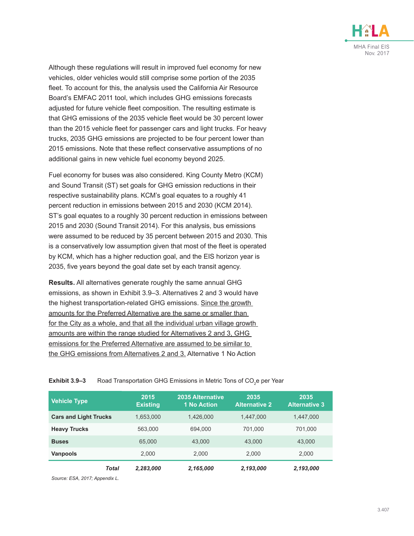

Although these regulations will result in improved fuel economy for new vehicles, older vehicles would still comprise some portion of the 2035 fleet. To account for this, the analysis used the California Air Resource Board's EMFAC 2011 tool, which includes GHG emissions forecasts adjusted for future vehicle fleet composition. The resulting estimate is that GHG emissions of the 2035 vehicle fleet would be 30 percent lower than the 2015 vehicle fleet for passenger cars and light trucks. For heavy trucks, 2035 GHG emissions are projected to be four percent lower than 2015 emissions. Note that these reflect conservative assumptions of no additional gains in new vehicle fuel economy beyond 2025.

Fuel economy for buses was also considered. King County Metro (KCM) and Sound Transit (ST) set goals for GHG emission reductions in their respective sustainability plans. KCM's goal equates to a roughly 41 percent reduction in emissions between 2015 and 2030 (KCM 2014). ST's goal equates to a roughly 30 percent reduction in emissions between 2015 and 2030 (Sound Transit 2014). For this analysis, bus emissions were assumed to be reduced by 35 percent between 2015 and 2030. This is a conservatively low assumption given that most of the fleet is operated by KCM, which has a higher reduction goal, and the EIS horizon year is 2035, five years beyond the goal date set by each transit agency.

**Results.** All alternatives generate roughly the same annual GHG emissions, as shown in [Exhibit 3.9–3](#page-20-0). Alternatives 2 and 3 would have the highest transportation-related GHG emissions. Since the growth amounts for the Preferred Alternative are the same or smaller than for the City as a whole, and that all the individual urban village growth amounts are within the range studied for Alternatives 2 and 3, GHG emissions for the Preferred Alternative are assumed to be similar to the GHG emissions from Alternatives 2 and 3. Alternative 1 No Action

| <b>Vehicle Type</b>          | 2015<br><b>Existing</b> | <b>2035 Alternative</b><br><b>1 No Action</b> | 2035<br><b>Alternative 2</b> | 2035<br><b>Alternative 3</b> |
|------------------------------|-------------------------|-----------------------------------------------|------------------------------|------------------------------|
| <b>Cars and Light Trucks</b> | 1.653.000               | 1.426.000                                     | 1.447.000                    | 1,447,000                    |
| <b>Heavy Trucks</b>          | 563,000                 | 694.000                                       | 701.000                      | 701.000                      |
| <b>Buses</b>                 | 65,000                  | 43,000                                        | 43,000                       | 43,000                       |
| <b>Vanpools</b>              | 2,000                   | 2,000                                         | 2,000                        | 2,000                        |
| Total                        | 2,283,000               | 2,165,000                                     | 2,193,000                    | 2,193,000                    |

<span id="page-20-0"></span>**Exhibit 3.9–3** Road Transportation GHG Emissions in Metric Tons of CO<sub>2</sub>e per Year

*Source: ESA, 2017; Appendix L.*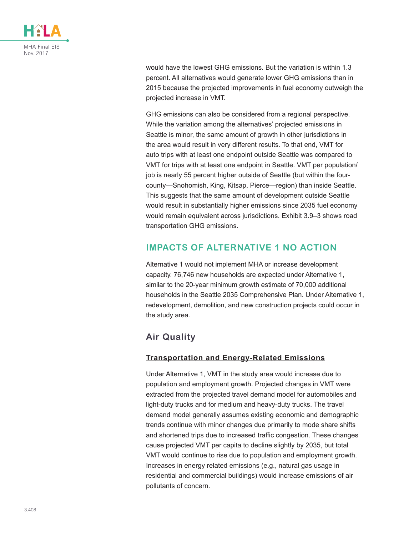

would have the lowest GHG emissions. But the variation is within 1.3 percent. All alternatives would generate lower GHG emissions than in 2015 because the projected improvements in fuel economy outweigh the projected increase in VMT.

GHG emissions can also be considered from a regional perspective. While the variation among the alternatives' projected emissions in Seattle is minor, the same amount of growth in other jurisdictions in the area would result in very different results. To that end, VMT for auto trips with at least one endpoint outside Seattle was compared to VMT for trips with at least one endpoint in Seattle. VMT per population/ job is nearly 55 percent higher outside of Seattle (but within the fourcounty—Snohomish, King, Kitsap, Pierce—region) than inside Seattle. This suggests that the same amount of development outside Seattle would result in substantially higher emissions since 2035 fuel economy would remain equivalent across jurisdictions. [Exhibit 3.9–3](#page-20-0) shows road transportation GHG emissions.

### **IMPACTS OF ALTERNATIVE 1 NO ACTION**

Alternative 1 would not implement MHA or increase development capacity. 76,746 new households are expected under Alternative 1, similar to the 20-year minimum growth estimate of 70,000 additional households in the Seattle 2035 Comprehensive Plan. Under Alternative 1, redevelopment, demolition, and new construction projects could occur in the study area.

# **Air Quality**

### **Transportation and Energy-Related Emissions**

Under Alternative 1, VMT in the study area would increase due to population and employment growth. Projected changes in VMT were extracted from the projected travel demand model for automobiles and light-duty trucks and for medium and heavy-duty trucks. The travel demand model generally assumes existing economic and demographic trends continue with minor changes due primarily to mode share shifts and shortened trips due to increased traffic congestion. These changes cause projected VMT per capita to decline slightly by 2035, but total VMT would continue to rise due to population and employment growth. Increases in energy related emissions (e.g., natural gas usage in residential and commercial buildings) would increase emissions of air pollutants of concern.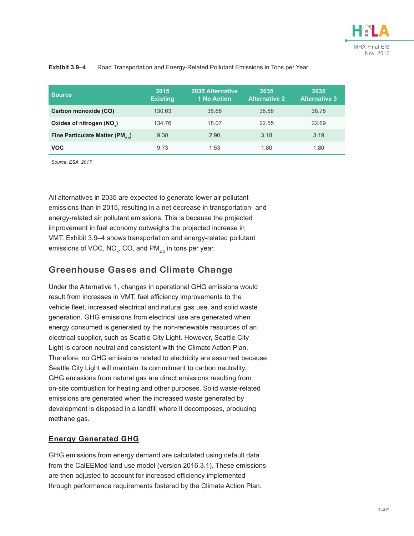| Source                                      | 2015<br><b>Existing</b> | <b>2035 Alternative</b><br>1 No Action | 2035<br><b>Alternative 2</b> | 2035<br><b>Alternative 3</b> |
|---------------------------------------------|-------------------------|----------------------------------------|------------------------------|------------------------------|
| Carbon monoxide (CO)                        | 130.63                  | 36.66                                  | 38.68                        | 38.78                        |
| Oxides of nitrogen (NO <sub>v</sub> )       | 134.76                  | 18.07                                  | 22.55                        | 22.69                        |
| Fine Particulate Matter (PM <sub>25</sub> ) | 9.30                    | 2.90                                   | 3.18                         | 3.19                         |
| <b>VOC</b>                                  | 9.73                    | 1.53                                   | 1.80                         | 1.80                         |

#### <span id="page-22-0"></span>**Exhibit 3.9–4** Road Transportation and Energy-Related Pollutant Emissions in Tons per Year

*Source: ESA, 2017.*

All alternatives in 2035 are expected to generate lower air pollutant emissions than in 2015, resulting in a net decrease in transportation- and energy-related air pollutant emissions. This is because the projected improvement in fuel economy outweighs the projected increase in VMT. [Exhibit 3.9–4](#page-22-0) shows transportation and energy-related pollutant emissions of VOC, NO $_{\sf x}$ , CO, and PM $_{\sf 2.5}$  in tons per year.

### **Greenhouse Gases and Climate Change**

Under the Alternative 1, changes in operational GHG emissions would result from increases in VMT, fuel efficiency improvements to the vehicle fleet, increased electrical and natural gas use, and solid waste generation. GHG emissions from electrical use are generated when energy consumed is generated by the non-renewable resources of an electrical supplier, such as Seattle City Light. However, Seattle City Light is carbon neutral and consistent with the Climate Action Plan. Therefore, no GHG emissions related to electricity are assumed because Seattle City Light will maintain its commitment to carbon neutrality. GHG emissions from natural gas are direct emissions resulting from on-site combustion for heating and other purposes. Solid waste-related emissions are generated when the increased waste generated by development is disposed in a landfill where it decomposes, producing methane gas.

#### **Energy Generated GHG**

GHG emissions from energy demand are calculated using default data from the CalEEMod land use model (version 2016.3.1). These emissions are then adjusted to account for increased efficiency implemented through performance requirements fostered by the Climate Action Plan.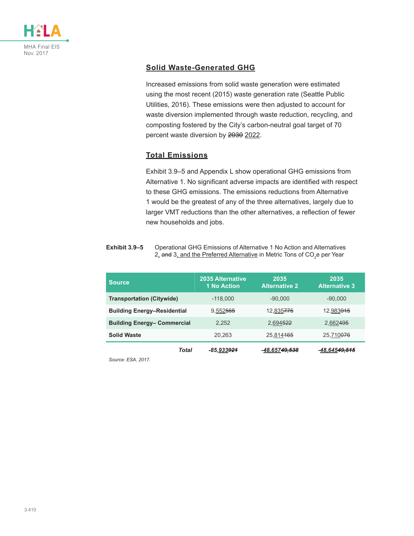

#### **Solid Waste-Generated GHG**

Increased emissions from solid waste generation were estimated using the most recent (2015) waste generation rate (Seattle Public Utilities, 2016). These emissions were then adjusted to account for waste diversion implemented through waste reduction, recycling, and composting fostered by the City's carbon-neutral goal target of 70 percent waste diversion by 2030 2022.

#### **Total Emissions**

<span id="page-23-0"></span>[Exhibit 3.9–5](#page-23-0) and Appendix L show operational GHG emissions from Alternative 1. No significant adverse impacts are identified with respect to these GHG emissions. The emissions reductions from Alternative 1 would be the greatest of any of the three alternatives, largely due to larger VMT reductions than the other alternatives, a reflection of fewer new households and jobs.

#### **Exhibit 3.9–5** Operational GHG Emissions of Alternative 1 No Action and Alternatives 2<u>. <del>and</del> 3, and the Preferred Alternative</u> in Metric Tons of CO<sub>2</sub>e per Year

| <b>Source</b>                      | <b>2035 Alternative</b><br>1 No Action | 2035<br><b>Alternative 2</b> | 2035<br><b>Alternative 3</b> |
|------------------------------------|----------------------------------------|------------------------------|------------------------------|
| <b>Transportation (Citywide)</b>   | $-118.000$                             | $-90.000$                    | $-90.000$                    |
| <b>Building Energy-Residential</b> | 9,552 <del>565</del>                   | 12,835 <del>775</del>        | 12,983915                    |
| <b>Building Energy- Commercial</b> | 2.252                                  | 2.694 <del>522</del>         | 2.662495                     |
| <b>Solid Waste</b>                 | 20.263                                 | 25,814 <del>165</del>        | 25,710 <del>076</del>        |
| Total                              | -85,933 <del>921</del>                 | -48,657 <del>49,538</del>    | -48.645 <del>49.515</del>    |

*Source: ESA, 2017.*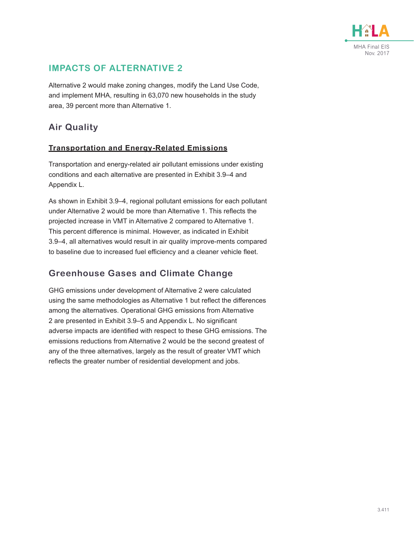

### **IMPACTS OF ALTERNATIVE 2**

Alternative 2 would make zoning changes, modify the Land Use Code, and implement MHA, resulting in 63,070 new households in the study area, 39 percent more than Alternative 1.

### **Air Quality**

#### **Transportation and Energy-Related Emissions**

Transportation and energy-related air pollutant emissions under existing conditions and each alternative are presented in [Exhibit 3.9–4](#page-22-0) and Appendix L.

As shown in [Exhibit 3.9–4,](#page-22-0) regional pollutant emissions for each pollutant under Alternative 2 would be more than Alternative 1. This reflects the projected increase in VMT in Alternative 2 compared to Alternative 1. This percent difference is minimal. However, as indicated in [Exhibit](#page-22-0)  [3.9–4](#page-22-0), all alternatives would result in air quality improve-ments compared to baseline due to increased fuel efficiency and a cleaner vehicle fleet.

# **Greenhouse Gases and Climate Change**

GHG emissions under development of Alternative 2 were calculated using the same methodologies as Alternative 1 but reflect the differences among the alternatives. Operational GHG emissions from Alternative 2 are presented in [Exhibit 3.9–5](#page-23-0) and Appendix L. No significant adverse impacts are identified with respect to these GHG emissions. The emissions reductions from Alternative 2 would be the second greatest of any of the three alternatives, largely as the result of greater VMT which reflects the greater number of residential development and jobs.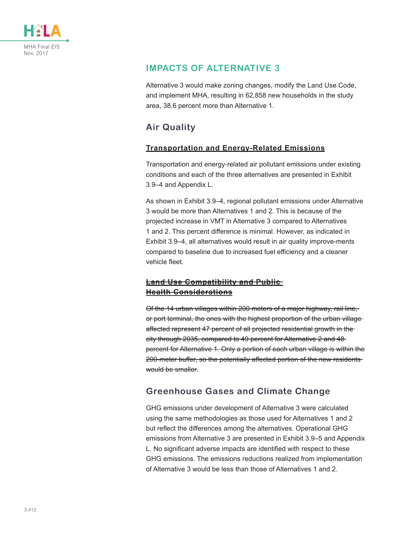

# **IMPACTS OF ALTERNATIVE 3**

Alternative 3 would make zoning changes, modify the Land Use Code, and implement MHA, resulting in 62,858 new households in the study area, 38.6 percent more than Alternative 1.

# **Air Quality**

### **Transportation and Energy-Related Emissions**

Transportation and energy-related air pollutant emissions under existing conditions and each of the three alternatives are presented in [Exhibit](#page-22-0)  [3.9–4](#page-22-0) and Appendix L.

As shown in [Exhibit 3.9–4,](#page-22-0) regional pollutant emissions under Alternative 3 would be more than Alternatives 1 and 2. This is because of the projected increase in VMT in Alternative 3 compared to Alternatives 1 and 2. This percent difference is minimal. However, as indicated in [Exhibit 3.9–4,](#page-22-0) all alternatives would result in air quality improve-ments compared to baseline due to increased fuel efficiency and a cleaner vehicle fleet.

### **Land Use Compatibility and Public Health Considerations**

Of the 14 urban villages within 200 meters of a major highway, rail line, or port terminal, the ones with the highest proportion of the urban village affected represent 47 percent of all projected residential growth in the city through 2035, compared to 49 percent for Alternative 2 and 48 percent for Alternative 1. Only a portion of each urban village is within the 200-meter buffer, so the potentially affected portion of the new residents would be smaller.

# **Greenhouse Gases and Climate Change**

GHG emissions under development of Alternative 3 were calculated using the same methodologies as those used for Alternatives 1 and 2 but reflect the differences among the alternatives. Operational GHG emissions from Alternative 3 are presented in [Exhibit 3.9–5](#page-23-0) and Appendix L. No significant adverse impacts are identified with respect to these GHG emissions. The emissions reductions realized from implementation of Alternative 3 would be less than those of Alternatives 1 and 2.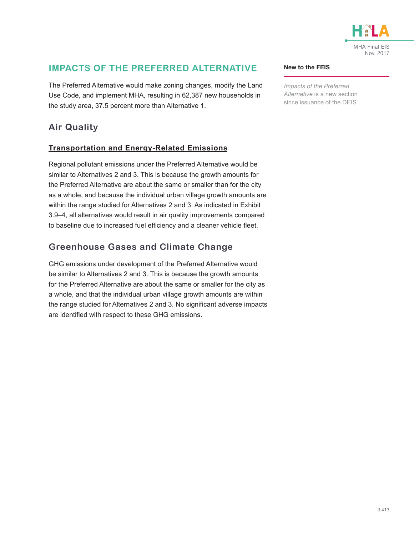

# **IMPACTS OF THE PREFERRED ALTERNATIVE**

The Preferred Alternative would make zoning changes, modify the Land Use Code, and implement MHA, resulting in 62,387 new households in the study area, 37.5 percent more than Alternative 1.

# **Air Quality**

### **Transportation and Energy-Related Emissions**

Regional pollutant emissions under the Preferred Alternative would be similar to Alternatives 2 and 3. This is because the growth amounts for the Preferred Alternative are about the same or smaller than for the city as a whole, and because the individual urban village growth amounts are within the range studied for Alternatives 2 and 3. As indicated in Exhibit 3.9–4, all alternatives would result in air quality improvements compared to baseline due to increased fuel efficiency and a cleaner vehicle fleet.

# **Greenhouse Gases and Climate Change**

GHG emissions under development of the Preferred Alternative would be similar to Alternatives 2 and 3. This is because the growth amounts for the Preferred Alternative are about the same or smaller for the city as a whole, and that the individual urban village growth amounts are within the range studied for Alternatives 2 and 3. No significant adverse impacts are identified with respect to these GHG emissions.

#### **New to the FEIS**

*Impacts of the Preferred Alternative* is a new section since issuance of the DEIS